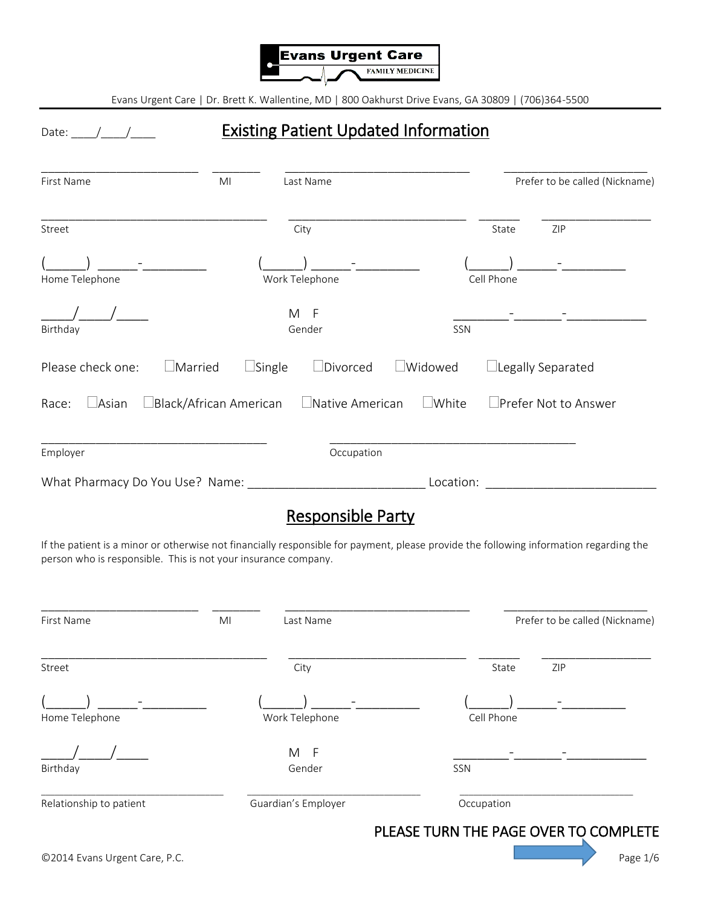

## Date: \_\_\_\_/\_\_\_\_/\_\_\_\_\_ Existing Patient Updated Information

| First Name                      | MI                              | Last Name              |                |            | Prefer to be called (Nickname) |
|---------------------------------|---------------------------------|------------------------|----------------|------------|--------------------------------|
| Street                          |                                 | City                   |                | State      | ZIP                            |
| Home Telephone                  |                                 | Work Telephone         |                | Cell Phone |                                |
| Birthday                        |                                 | M F<br>Gender          | SSN            |            |                                |
| Please check one:               | $\Box$ Married<br>$\Box$ Single | $\Box$ Divorced        | $\Box$ Widowed |            | $\Box$ Legally Separated       |
| $\Box$ Asian<br>Race:           | $\Box$ Black/African American   | $\Box$ Native American | $\Box$ White   |            | $\Box$ Prefer Not to Answer    |
| Employer                        |                                 | Occupation             |                |            |                                |
| What Pharmacy Do You Use? Name: |                                 |                        | Location:      |            |                                |

## Responsible Party

If the patient is a minor or otherwise not financially responsible for payment, please provide the following information regarding the person who is responsible. This is not your insurance company.

| First Name              | MI<br>Last Name     | Prefer to be called (Nickname) |
|-------------------------|---------------------|--------------------------------|
| Street                  | City                | ZIP<br>State                   |
| Home Telephone          | Work Telephone      | Cell Phone                     |
| Birthday                | M<br>- F<br>Gender  | SSN                            |
| Relationship to patient | Guardian's Employer | Occupation                     |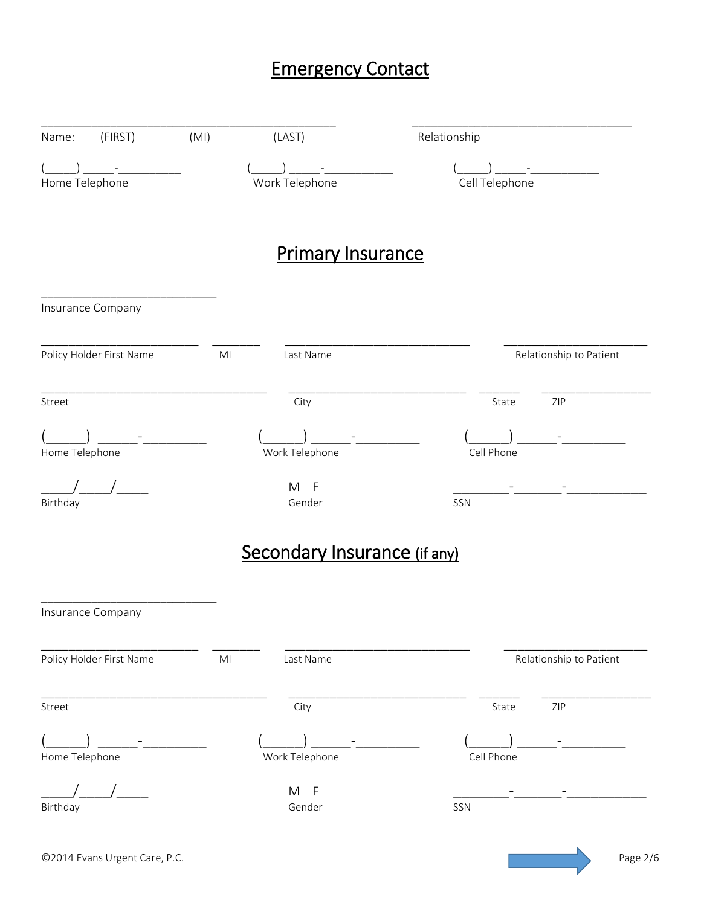# Emergency Contact

| (FIRST)<br>Name:         | (MI)           | (LAST)                       | Relationship            |
|--------------------------|----------------|------------------------------|-------------------------|
| Home Telephone           |                | Work Telephone               | Cell Telephone          |
|                          |                | <b>Primary Insurance</b>     |                         |
| Insurance Company        |                |                              |                         |
| Policy Holder First Name | M <sub>l</sub> | Last Name                    | Relationship to Patient |
| Street                   |                | City                         | ZIP<br>State            |
| Home Telephone           |                | Work Telephone               | Cell Phone              |
| Birthday                 |                | M<br>$-F$<br>Gender          | SSN                     |
|                          |                | Secondary Insurance (if any) |                         |
| Insurance Company        |                |                              |                         |
| Policy Holder First Name | M <sub>l</sub> | Last Name                    | Relationship to Patient |
| Street                   |                | City                         | State<br>ZIP            |
| Home Telephone           |                | Work Telephone               | Cell Phone              |
| Birthday                 |                | M F<br>Gender                | SSN                     |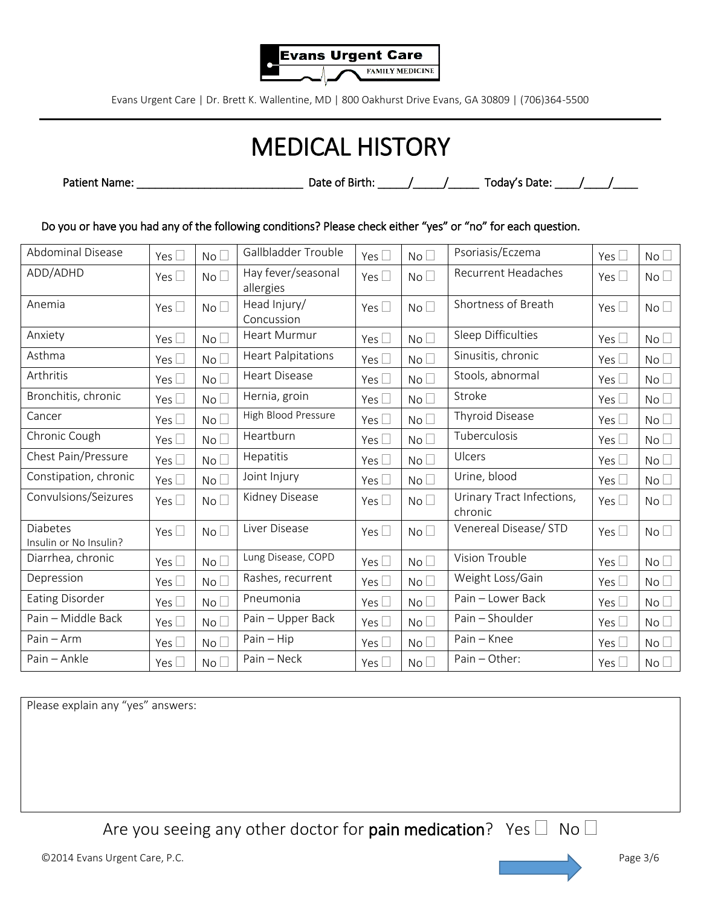

# MEDICAL HISTORY

Patient Name: \_\_\_\_\_\_\_\_\_\_\_\_\_\_\_\_\_\_\_\_\_\_\_\_\_\_\_ Date of Birth: \_\_\_\_\_/\_\_\_\_\_/\_\_\_\_\_ Today's Date: \_\_\_\_/\_\_\_\_/\_\_\_\_

Do you or have you had any of the following conditions? Please check either "yes" or "no" for each question.

| <b>Abdominal Disease</b>                  | Yes $\square$ | No <sub>1</sub> | Gallbladder Trouble             | Yes $\Box$    | No <sub>1</sub> | Psoriasis/Eczema                     | Yes $\Box$    | No              |
|-------------------------------------------|---------------|-----------------|---------------------------------|---------------|-----------------|--------------------------------------|---------------|-----------------|
| ADD/ADHD                                  | Yes $\square$ | No              | Hay fever/seasonal<br>allergies | Yes $\square$ | No <sub>1</sub> | <b>Recurrent Headaches</b>           | Yes $\Box$    | No <sub>1</sub> |
| Anemia                                    | Yes $\Box$    | No              | Head Injury/<br>Concussion      | Yes $\Box$    | No <sub>1</sub> | Shortness of Breath                  | Yes $\Box$    | No <sub>1</sub> |
| Anxiety                                   | Yes $\square$ | No <sub>1</sub> | <b>Heart Murmur</b>             | Yes $\square$ | No <sub>1</sub> | Sleep Difficulties                   | Yes $\square$ | No <sub>1</sub> |
| Asthma                                    | Yes $\square$ | No <sub>1</sub> | <b>Heart Palpitations</b>       | Yes $\square$ | No <sub>1</sub> | Sinusitis, chronic                   | Yes $\square$ | No <sub>1</sub> |
| Arthritis                                 | Yes $\Box$    | No <sub>1</sub> | <b>Heart Disease</b>            | Yes $\square$ | No <sub>1</sub> | Stools, abnormal                     | Yes $\square$ | No <sub>1</sub> |
| Bronchitis, chronic                       | Yes $\square$ | No <sub>1</sub> | Hernia, groin                   | Yes $\square$ | No              | Stroke                               | Yes $\square$ | No <sub>1</sub> |
| Cancer                                    | Yes $\square$ | No <sub>1</sub> | High Blood Pressure             | Yes $\Box$    | No              | Thyroid Disease                      | Yes $\square$ | No <sub>1</sub> |
| Chronic Cough                             | Yes $\square$ | No <sub>1</sub> | Heartburn                       | Yes $\square$ | No              | Tuberculosis                         | Yes $\square$ | No <sub>1</sub> |
| Chest Pain/Pressure                       | Yes $\square$ | No <sub>1</sub> | Hepatitis                       | Yes $\square$ | No              | Ulcers                               | Yes $\square$ | No <sub>1</sub> |
| Constipation, chronic                     | Yes $\square$ | No <sub>1</sub> | Joint Injury                    | Yes $\square$ | No <sub>1</sub> | Urine, blood                         | Yes $\square$ | No <sub>1</sub> |
| Convulsions/Seizures                      | Yes $\square$ | No <sub>1</sub> | Kidney Disease                  | Yes $\square$ | No <sub>1</sub> | Urinary Tract Infections,<br>chronic | Yes $\square$ | No <sub>1</sub> |
| <b>Diabetes</b><br>Insulin or No Insulin? | Yes $\square$ | No <sub>1</sub> | Liver Disease                   | Yes $\square$ | No <sub>1</sub> | Venereal Disease/ STD                | Yes $\Box$    | No <sub>1</sub> |
| Diarrhea, chronic                         | Yes $\square$ | No <sup>1</sup> | Lung Disease, COPD              | Yes $\square$ | No <sub>1</sub> | Vision Trouble                       | Yes $\square$ | No <sub>1</sub> |
| Depression                                | Yes $\square$ | No <sub>1</sub> | Rashes, recurrent               | Yes $\square$ | No <sub>1</sub> | Weight Loss/Gain                     | Yes $\square$ | No <sup>2</sup> |
| <b>Eating Disorder</b>                    | Yes $\square$ | No              | Pneumonia                       | Yes $\square$ | No <sub>1</sub> | Pain - Lower Back                    | Yes $\square$ | No <sub>1</sub> |
| Pain - Middle Back                        | Yes $\square$ | No <sub>1</sub> | Pain - Upper Back               | Yes $\square$ | No              | Pain - Shoulder                      | Yes $\square$ | No <sub>1</sub> |
| Pain - Arm                                | Yes $\square$ | No              | $Pain - Hip$                    | Yes $\square$ | No <sub>1</sub> | Pain - Knee                          | Yes $\square$ | No <sub>1</sub> |
| Pain - Ankle                              | Yes $\square$ | No <sub>1</sub> | Pain - Neck                     | Yes $\Box$    | No <sub>1</sub> | Pain - Other:                        | Yes $\square$ | No              |

Please explain any "yes" answers:

Are you seeing any other doctor for pain medication? Yes  $\Box$  No  $\Box$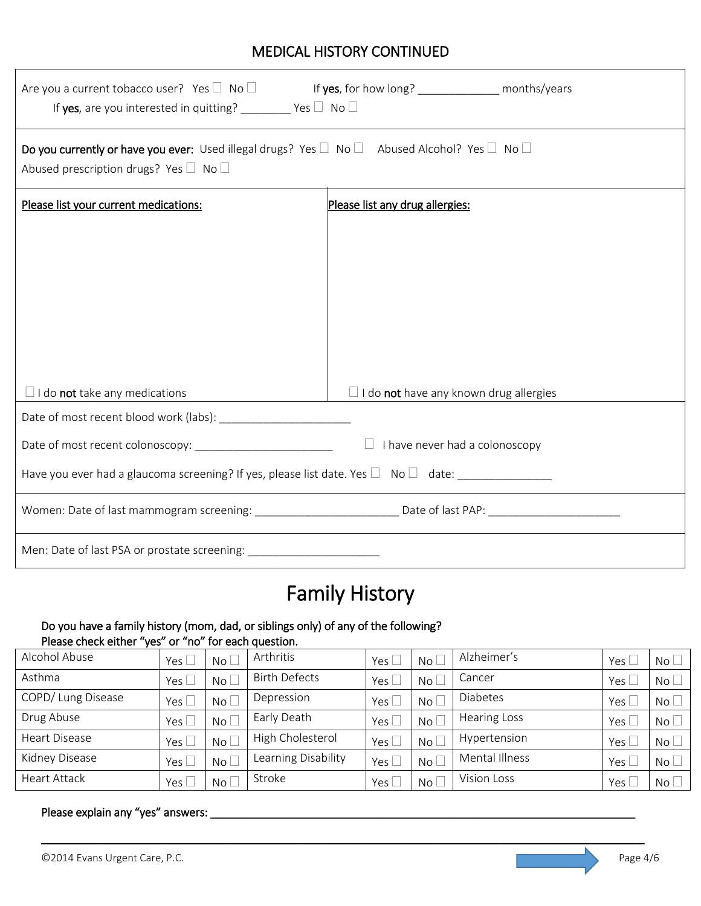## MEDICAL HISTORY CONTINUED

| Are you a current tobacco user? Yes $\Box$ No $\Box$ If yes, for how long? _____________ months/years<br>If yes, are you interested in quitting? ________ Yes $\Box$ No $\Box$  |                                               |  |  |  |  |  |  |
|---------------------------------------------------------------------------------------------------------------------------------------------------------------------------------|-----------------------------------------------|--|--|--|--|--|--|
| Do you currently or have you ever: Used illegal drugs? Yes $\square$ No $\square$ Abused Alcohol? Yes $\square$ No $\square$<br>Abused prescription drugs? Yes $\Box$ No $\Box$ |                                               |  |  |  |  |  |  |
| Please list your current medications:                                                                                                                                           | Please list any drug allergies:               |  |  |  |  |  |  |
|                                                                                                                                                                                 |                                               |  |  |  |  |  |  |
|                                                                                                                                                                                 |                                               |  |  |  |  |  |  |
|                                                                                                                                                                                 |                                               |  |  |  |  |  |  |
|                                                                                                                                                                                 |                                               |  |  |  |  |  |  |
|                                                                                                                                                                                 |                                               |  |  |  |  |  |  |
|                                                                                                                                                                                 |                                               |  |  |  |  |  |  |
| $\Box$ I do <b>not</b> take any medications                                                                                                                                     | $\Box$ I do not have any known drug allergies |  |  |  |  |  |  |
|                                                                                                                                                                                 |                                               |  |  |  |  |  |  |
| $\Box$ I have never had a colonoscopy                                                                                                                                           |                                               |  |  |  |  |  |  |
| Have you ever had a glaucoma screening? If yes, please list date. Yes $\Box$ No $\Box$ date:                                                                                    |                                               |  |  |  |  |  |  |
|                                                                                                                                                                                 |                                               |  |  |  |  |  |  |
| Men: Date of last PSA or prostate screening: ___________________________________                                                                                                |                                               |  |  |  |  |  |  |

# Family History

#### Do you have a family history (mom, dad, or siblings only) of any of the following? Please check either "yes" or "no" for each question.

| Alcohol Abuse        | Yes $\Box$ | No L            | Arthritis            | Yes [         | No <sub>l</sub> | Alzheimer's         | Yes $\lfloor$ | No <sub>1</sub> |
|----------------------|------------|-----------------|----------------------|---------------|-----------------|---------------------|---------------|-----------------|
| Asthma               |            | No L            | <b>Birth Defects</b> | Yes $[$       | No <sub>l</sub> | Cancer              | Yes $\lfloor$ | $No+$           |
| COPD/ Lung Disease   |            | No L            | Depression           | Yes l         | No l            | <b>Diabetes</b>     | Yes $\lfloor$ | No              |
| Drug Abuse           | Yes        | No L            | Early Death          | Yes $\lfloor$ | No L            | <b>Hearing Loss</b> | Yes $\lfloor$ | $No+$           |
| <b>Heart Disease</b> |            | $No$ $\Box$     | High Cholesterol     | Yes           | $No+$           | Hypertension        | Yes $\Box$    | $No+$           |
| Kidney Disease       |            | No <sub>1</sub> | Learning Disability  | Yes [         | No <sub>l</sub> | Mental Illness      | Yes $\lfloor$ | No <sub>1</sub> |
| Heart Attack         |            | No L            | Stroke               | Yes           | No <sub>l</sub> | Vision Loss         | Yes l         | $No+$           |

\_\_\_\_\_\_\_\_\_\_\_\_\_\_\_\_\_\_\_\_\_\_\_\_\_\_\_\_\_\_\_\_\_\_\_\_\_\_\_\_\_\_\_\_\_\_\_\_\_\_\_\_\_\_\_\_\_\_\_\_\_\_\_\_\_\_\_\_\_\_\_\_\_\_\_\_\_\_\_\_\_\_\_\_\_\_\_\_\_\_\_\_\_\_\_\_\_\_

#### Please explain any "yes" answers: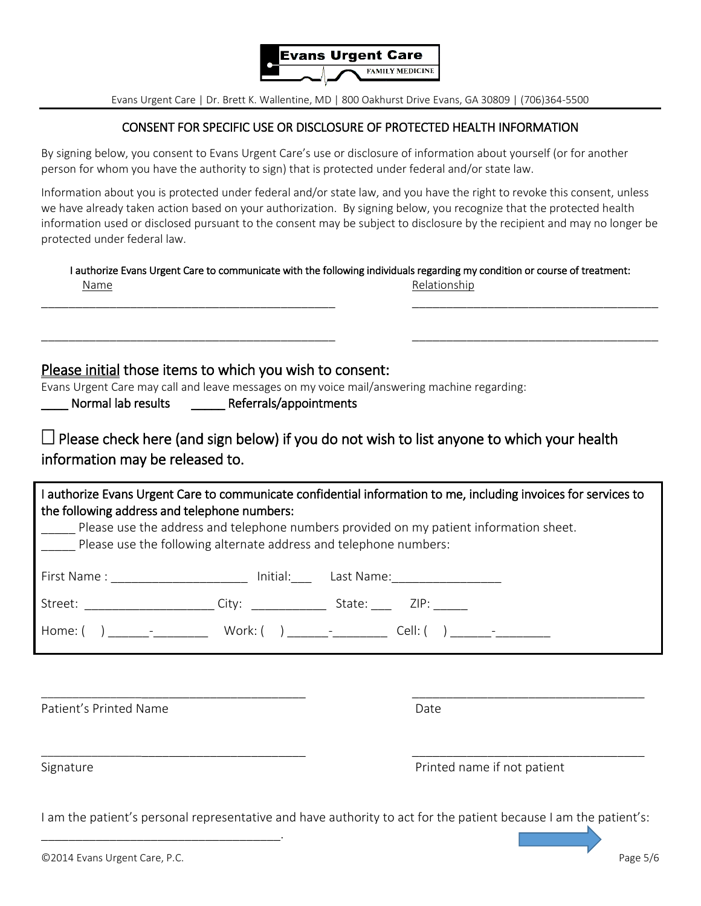

#### CONSENT FOR SPECIFIC USE OR DISCLOSURE OF PROTECTED HEALTH INFORMATION

By signing below, you consent to Evans Urgent Care's use or disclosure of information about yourself (or for another person for whom you have the authority to sign) that is protected under federal and/or state law.

Information about you is protected under federal and/or state law, and you have the right to revoke this consent, unless we have already taken action based on your authorization. By signing below, you recognize that the protected health information used or disclosed pursuant to the consent may be subject to disclosure by the recipient and may no longer be protected under federal law.

|      | I authorize Evans Urgent Care to communicate with the following individuals regarding my condition or course of treatment: |
|------|----------------------------------------------------------------------------------------------------------------------------|
| Name | Relationship                                                                                                               |

\_\_\_\_\_\_\_\_\_\_\_\_\_\_\_\_\_\_\_\_\_\_\_\_\_\_\_\_\_\_\_\_\_\_\_\_\_\_\_\_\_\_\_ \_\_\_\_\_\_\_\_\_\_\_\_\_\_\_\_\_\_\_\_\_\_\_\_\_\_\_\_\_\_\_\_\_\_\_\_

\_\_\_\_\_\_\_\_\_\_\_\_\_\_\_\_\_\_\_\_\_\_\_\_\_\_\_\_\_\_\_\_\_\_\_\_\_\_\_\_\_\_\_ \_\_\_\_\_\_\_\_\_\_\_\_\_\_\_\_\_\_\_\_\_\_\_\_\_\_\_\_\_\_\_\_\_\_\_\_

Please initial those items to which you wish to consent:

Evans Urgent Care may call and leave messages on my voice mail/answering machine regarding:

Normal lab results The Referrals/appointments

 $\Box$  Please check here (and sign below) if you do not wish to list anyone to which your health information may be released to.

| I authorize Evans Urgent Care to communicate confidential information to me, including invoices for services to<br>the following address and telephone numbers:<br>Please use the address and telephone numbers provided on my patient information sheet.<br>Please use the following alternate address and telephone numbers: |  |  |
|--------------------------------------------------------------------------------------------------------------------------------------------------------------------------------------------------------------------------------------------------------------------------------------------------------------------------------|--|--|
| First Name : __________________________ Initial:_________________________________                                                                                                                                                                                                                                              |  |  |
|                                                                                                                                                                                                                                                                                                                                |  |  |
|                                                                                                                                                                                                                                                                                                                                |  |  |
|                                                                                                                                                                                                                                                                                                                                |  |  |

Patient's Printed Name **Date** Date **Date** Date

Signature **Printed name if not patient** 

I am the patient's personal representative and have authority to act for the patient because I am the patient's:

\_\_\_\_\_\_\_\_\_\_\_\_\_\_\_\_\_\_\_\_\_\_\_\_\_\_\_\_\_\_\_\_\_\_\_\_\_\_\_\_ \_\_\_\_\_\_\_\_\_\_\_\_\_\_\_\_\_\_\_\_\_\_\_\_\_\_\_\_\_\_\_\_\_\_

\_\_\_\_\_\_\_\_\_\_\_\_\_\_\_\_\_\_\_\_\_\_\_\_\_\_\_\_\_\_\_\_\_\_\_.